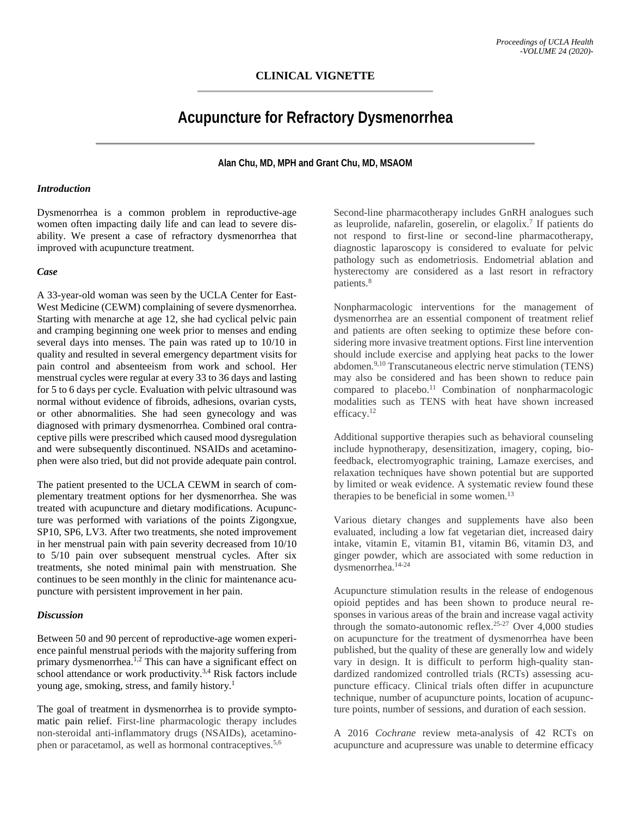## **CLINICAL VIGNETTE**

# **Acupuncture for Refractory Dysmenorrhea**

#### **Alan Chu, MD, MPH and Grant Chu, MD, MSAOM**

#### *Introduction*

Dysmenorrhea is a common problem in reproductive-age women often impacting daily life and can lead to severe disability. We present a case of refractory dysmenorrhea that improved with acupuncture treatment.

### *Case*

A 33-year-old woman was seen by the UCLA Center for East-West Medicine (CEWM) complaining of severe dysmenorrhea. Starting with menarche at age 12, she had cyclical pelvic pain and cramping beginning one week prior to menses and ending several days into menses. The pain was rated up to 10/10 in quality and resulted in several emergency department visits for pain control and absenteeism from work and school. Her menstrual cycles were regular at every 33 to 36 days and lasting for 5 to 6 days per cycle. Evaluation with pelvic ultrasound was normal without evidence of fibroids, adhesions, ovarian cysts, or other abnormalities. She had seen gynecology and was diagnosed with primary dysmenorrhea. Combined oral contraceptive pills were prescribed which caused mood dysregulation and were subsequently discontinued. NSAIDs and acetaminophen were also tried, but did not provide adequate pain control.

The patient presented to the UCLA CEWM in search of complementary treatment options for her dysmenorrhea. She was treated with acupuncture and dietary modifications. Acupuncture was performed with variations of the points Zigongxue, SP10, SP6, LV3. After two treatments, she noted improvement in her menstrual pain with pain severity decreased from 10/10 to 5/10 pain over subsequent menstrual cycles. After six treatments, she noted minimal pain with menstruation. She continues to be seen monthly in the clinic for maintenance acupuncture with persistent improvement in her pain.

#### *Discussion*

Between 50 and 90 percent of reproductive-age women experience painful menstrual periods with the majority suffering from primary dysmenorrhea.<sup>1,2</sup> This can have a significant effect on school attendance or work productivity.<sup>3,4</sup> Risk factors include young age, smoking, stress, and family history.1

The goal of treatment in dysmenorrhea is to provide symptomatic pain relief. First-line pharmacologic therapy includes non-steroidal anti-inflammatory drugs (NSAIDs), acetaminophen or paracetamol, as well as hormonal contraceptives.<sup>5,6</sup>

Second-line pharmacotherapy includes GnRH analogues such as leuprolide, nafarelin, goserelin, or elagolix.7 If patients do not respond to first-line or second-line pharmacotherapy, diagnostic laparoscopy is considered to evaluate for pelvic pathology such as endometriosis. Endometrial ablation and hysterectomy are considered as a last resort in refractory patients.8

Nonpharmacologic interventions for the management of dysmenorrhea are an essential component of treatment relief and patients are often seeking to optimize these before considering more invasive treatment options. First line intervention should include exercise and applying heat packs to the lower abdomen.<sup>9,10</sup> Transcutaneous electric nerve stimulation (TENS) may also be considered and has been shown to reduce pain compared to placebo.<sup>11</sup> Combination of nonpharmacologic modalities such as TENS with heat have shown increased efficacy.12

Additional supportive therapies such as behavioral counseling include hypnotherapy, desensitization, imagery, coping, biofeedback, electromyographic training, Lamaze exercises, and relaxation techniques have shown potential but are supported by limited or weak evidence. A systematic review found these therapies to be beneficial in some women.<sup>13</sup>

Various dietary changes and supplements have also been evaluated, including a low fat vegetarian diet, increased dairy intake, vitamin E, vitamin B1, vitamin B6, vitamin D3, and ginger powder, which are associated with some reduction in dysmenorrhea.14-24

Acupuncture stimulation results in the release of endogenous opioid peptides and has been shown to produce neural responses in various areas of the brain and increase vagal activity through the somato-autonomic reflex.25-27 Over 4,000 studies on acupuncture for the treatment of dysmenorrhea have been published, but the quality of these are generally low and widely vary in design. It is difficult to perform high-quality standardized randomized controlled trials (RCTs) assessing acupuncture efficacy. Clinical trials often differ in acupuncture technique, number of acupuncture points, location of acupuncture points, number of sessions, and duration of each session.

A 2016 *Cochrane* review meta-analysis of 42 RCTs on acupuncture and acupressure was unable to determine efficacy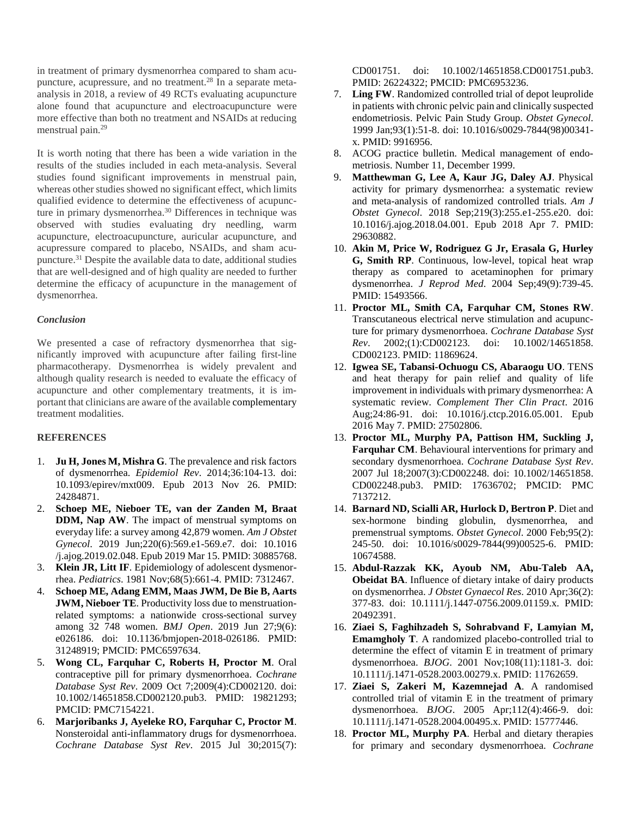in treatment of primary dysmenorrhea compared to sham acupuncture, acupressure, and no treatment.28 In a separate metaanalysis in 2018, a review of 49 RCTs evaluating acupuncture alone found that acupuncture and electroacupuncture were more effective than both no treatment and NSAIDs at reducing menstrual pain.29

It is worth noting that there has been a wide variation in the results of the studies included in each meta-analysis. Several studies found significant improvements in menstrual pain, whereas other studies showed no significant effect, which limits qualified evidence to determine the effectiveness of acupuncture in primary dysmenorrhea.<sup>30</sup> Differences in technique was observed with studies evaluating dry needling, warm acupuncture, electroacupuncture, auricular acupuncture, and acupressure compared to placebo, NSAIDs, and sham acupuncture.31 Despite the available data to date, additional studies that are well-designed and of high quality are needed to further determine the efficacy of acupuncture in the management of dysmenorrhea.

#### *Conclusion*

We presented a case of refractory dysmenorrhea that significantly improved with acupuncture after failing first-line pharmacotherapy. Dysmenorrhea is widely prevalent and although quality research is needed to evaluate the efficacy of acupuncture and other complementary treatments, it is important that clinicians are aware of the available complementary treatment modalities.

## **REFERENCES**

- 1. **Ju H, Jones M, Mishra G**. The prevalence and risk factors of dysmenorrhea. *Epidemiol Rev*. 2014;36:104-13. doi: 10.1093/epirev/mxt009. Epub 2013 Nov 26. PMID: 24284871.
- 2. **Schoep ME, Nieboer TE, van der Zanden M, Braat DDM, Nap AW**. The impact of menstrual symptoms on everyday life: a survey among 42,879 women. *Am J Obstet Gynecol*. 2019 Jun;220(6):569.e1-569.e7. doi: 10.1016 /j.ajog.2019.02.048. Epub 2019 Mar 15. PMID: 30885768.
- 3. **Klein JR, Litt IF**. Epidemiology of adolescent dysmenorrhea. *Pediatrics*. 1981 Nov;68(5):661-4. PMID: 7312467.
- 4. **Schoep ME, Adang EMM, Maas JWM, De Bie B, Aarts JWM, Nieboer TE**. Productivity loss due to menstruationrelated symptoms: a nationwide cross-sectional survey among 32 748 women. *BMJ Open*. 2019 Jun 27;9(6): e026186. doi: 10.1136/bmjopen-2018-026186. PMID: 31248919; PMCID: PMC6597634.
- 5. **Wong CL, Farquhar C, Roberts H, Proctor M**. Oral contraceptive pill for primary dysmenorrhoea. *Cochrane Database Syst Rev*. 2009 Oct 7;2009(4):CD002120. doi: 10.1002/14651858.CD002120.pub3. PMID: 19821293; PMCID: PMC7154221.
- 6. **Marjoribanks J, Ayeleke RO, Farquhar C, Proctor M**. Nonsteroidal anti-inflammatory drugs for dysmenorrhoea. *Cochrane Database Syst Rev*. 2015 Jul 30;2015(7):

CD001751. doi: 10.1002/14651858.CD001751.pub3. PMID: 26224322; PMCID: PMC6953236.

- 7. **Ling FW**. Randomized controlled trial of depot leuprolide in patients with chronic pelvic pain and clinically suspected endometriosis. Pelvic Pain Study Group. *Obstet Gynecol*. 1999 Jan;93(1):51-8. doi: 10.1016/s0029-7844(98)00341 x. PMID: 9916956.
- 8. ACOG practice bulletin. Medical management of endometriosis. Number 11, December 1999.
- 9. **Matthewman G, Lee A, Kaur JG, Daley AJ**. Physical activity for primary dysmenorrhea: a systematic review and meta-analysis of randomized controlled trials. *Am J Obstet Gynecol*. 2018 Sep;219(3):255.e1-255.e20. doi: 10.1016/j.ajog.2018.04.001. Epub 2018 Apr 7. PMID: 29630882.
- 10. **Akin M, Price W, Rodriguez G Jr, Erasala G, Hurley G, Smith RP**. Continuous, low-level, topical heat wrap therapy as compared to acetaminophen for primary dysmenorrhea. *J Reprod Med*. 2004 Sep;49(9):739-45. PMID: 15493566.
- 11. **Proctor ML, Smith CA, Farquhar CM, Stones RW**. Transcutaneous electrical nerve stimulation and acupuncture for primary dysmenorrhoea. *Cochrane Database Syst Rev*. 2002;(1):CD002123. doi: 10.1002/14651858. CD002123. PMID: 11869624.
- 12. **Igwea SE, Tabansi-Ochuogu CS, Abaraogu UO**. TENS and heat therapy for pain relief and quality of life improvement in individuals with primary dysmenorrhea: A systematic review. *Complement Ther Clin Pract*. 2016 Aug;24:86-91. doi: 10.1016/j.ctcp.2016.05.001. Epub 2016 May 7. PMID: 27502806.
- 13. **Proctor ML, Murphy PA, Pattison HM, Suckling J, Farquhar CM**. Behavioural interventions for primary and secondary dysmenorrhoea. *Cochrane Database Syst Rev*. 2007 Jul 18;2007(3):CD002248. doi: 10.1002/14651858. CD002248.pub3. PMID: 17636702; PMCID: PMC 7137212.
- 14. **Barnard ND, Scialli AR, Hurlock D, Bertron P**. Diet and sex-hormone binding globulin, dysmenorrhea, and premenstrual symptoms. *Obstet Gynecol*. 2000 Feb;95(2): 245-50. doi: 10.1016/s0029-7844(99)00525-6. PMID: 10674588.
- 15. **Abdul-Razzak KK, Ayoub NM, Abu-Taleb AA, Obeidat BA**. Influence of dietary intake of dairy products on dysmenorrhea. *J Obstet Gynaecol Res*. 2010 Apr;36(2): 377-83. doi: 10.1111/j.1447-0756.2009.01159.x. PMID: 20492391.
- 16. **Ziaei S, Faghihzadeh S, Sohrabvand F, Lamyian M, Emamgholy T**. A randomized placebo-controlled trial to determine the effect of vitamin E in treatment of primary dysmenorrhoea. *BJOG*. 2001 Nov;108(11):1181-3. doi: 10.1111/j.1471-0528.2003.00279.x. PMID: 11762659.
- 17. **Ziaei S, Zakeri M, Kazemnejad A**. A randomised controlled trial of vitamin E in the treatment of primary dysmenorrhoea. *BJOG*. 2005 Apr;112(4):466-9. doi: 10.1111/j.1471-0528.2004.00495.x. PMID: 15777446.
- 18. **Proctor ML, Murphy PA**. Herbal and dietary therapies for primary and secondary dysmenorrhoea. *Cochrane*